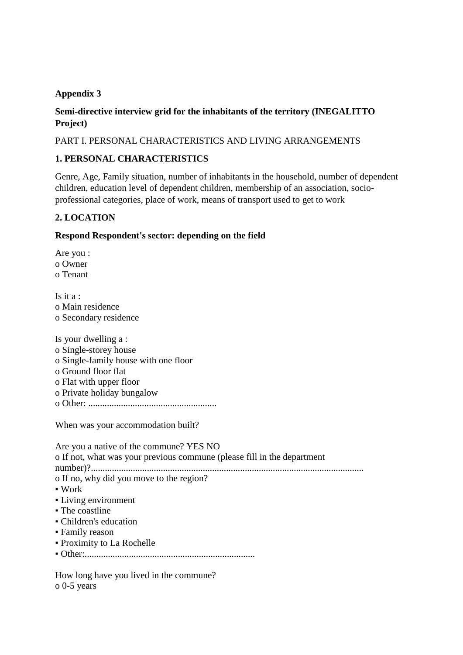### **Appendix 3**

### **Semi-directive interview grid for the inhabitants of the territory (INEGALITTO Project)**

PART I. PERSONAL CHARACTERISTICS AND LIVING ARRANGEMENTS

### **1. PERSONAL CHARACTERISTICS**

Genre, Age, Family situation, number of inhabitants in the household, number of dependent children, education level of dependent children, membership of an association, socioprofessional categories, place of work, means of transport used to get to work

### **2. LOCATION**

o 0-5 years

### **Respond Respondent's sector: depending on the field**

Are you : o Owner o Tenant Is it  $a :$ o Main residence o Secondary residence Is your dwelling a : o Single-storey house o Single-family house with one floor o Ground floor flat o Flat with upper floor o Private holiday bungalow o Other: ....................................................... When was your accommodation built? Are you a native of the commune? YES NO o If not, what was your previous commune (please fill in the department number)?..................................................................................................................... o If no, why did you move to the region?  $\blacksquare$  Work ▪ Living environment • The coastline ▪ Children's education ▪ Family reason ▪ Proximity to La Rochelle ▪ Other:......................................................................... How long have you lived in the commune?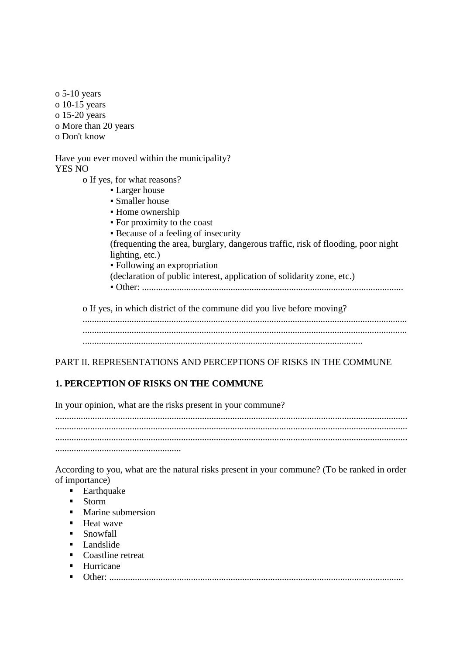o 5-10 years o 10-15 years o 15-20 years o More than 20 years o Don't know

Have you ever moved within the municipality? YES NO

o If yes, for what reasons?

- Larger house
- Smaller house
- Home ownership
- For proximity to the coast
- Because of a feeling of insecurity

(frequenting the area, burglary, dangerous traffic, risk of flooding, poor night lighting, etc.)

▪ Following an expropriation

(declaration of public interest, application of solidarity zone, etc.)

▪ Other: ................................................................................................................

o If yes, in which district of the commune did you live before moving?

........................................................................................................................................... ........................................................................................................................................... ........................................................................................................................

PART II. REPRESENTATIONS AND PERCEPTIONS OF RISKS IN THE COMMUNE

## **1. PERCEPTION OF RISKS ON THE COMMUNE**

In your opinion, what are the risks present in your commune? ....................................................................................................................................................... ....................................................................................................................................................... ....................................................................................................................................................... ......................................................

According to you, what are the natural risks present in your commune? (To be ranked in order of importance)

- **Earthquake**
- Storm
- **Marine submersion**
- $H$ eat wave
- **Snowfall**
- $\blacksquare$  Landslide
- Coastline retreat
- **Hurricane**
- Other: ..............................................................................................................................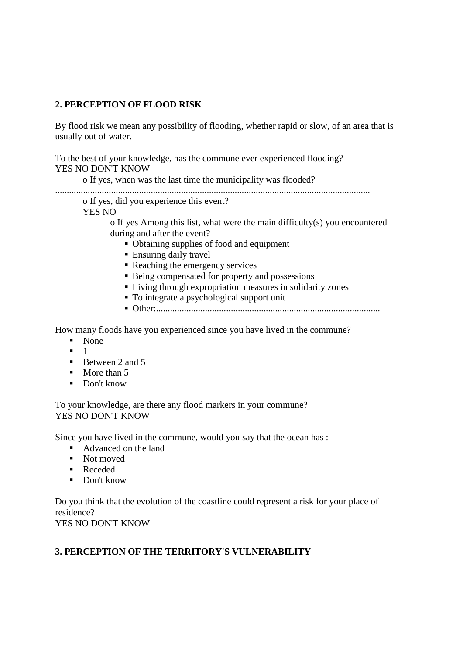### **2. PERCEPTION OF FLOOD RISK**

By flood risk we mean any possibility of flooding, whether rapid or slow, of an area that is usually out of water.

To the best of your knowledge, has the commune ever experienced flooding? YES NO DON'T KNOW

o If yes, when was the last time the municipality was flooded?

.......................................................................................................................................

o If yes, did you experience this event?

YES NO

o If yes Among this list, what were the main difficulty(s) you encountered during and after the event?

- Obtaining supplies of food and equipment
- Ensuring daily travel
- Reaching the emergency services
- Being compensated for property and possessions
- Living through expropriation measures in solidarity zones
- $\blacksquare$  To integrate a psychological support unit
- Other:................................................................................................

How many floods have you experienced since you have lived in the commune?

- None
- $-1$
- $\blacksquare$  Between 2 and 5
- $\blacksquare$  More than 5
- Don't know

To your knowledge, are there any flood markers in your commune? YES NO DON'T KNOW

Since you have lived in the commune, would you say that the ocean has :

- Advanced on the land
- Not moved
- Receded
- Don't know

Do you think that the evolution of the coastline could represent a risk for your place of residence? YES NO DON'T KNOW

### **3. PERCEPTION OF THE TERRITORY'S VULNERABILITY**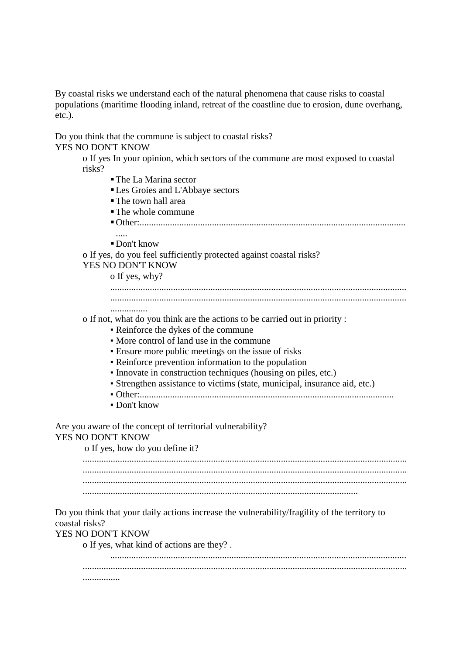By coastal risks we understand each of the natural phenomena that cause risks to coastal populations (maritime flooding inland, retreat of the coastline due to erosion, dune overhang, etc.).

Do you think that the commune is subject to coastal risks? YES NO DON'T KNOW

> o If yes In your opinion, which sectors of the commune are most exposed to coastal risks?

- The La Marina sector
- Les Groies and L'Abbaye sectors
- The town hall area
- The whole commune
- Other:.................................................................................................................. .....

Don't know

o If yes, do you feel sufficiently protected against coastal risks? YES NO DON'T KNOW

o If yes, why?

- ............................................................................................................................... ...............................................................................................................................
- ................

o If not, what do you think are the actions to be carried out in priority :

- Reinforce the dykes of the commune
- More control of land use in the commune
- Ensure more public meetings on the issue of risks
- Reinforce prevention information to the population
- Innovate in construction techniques (housing on piles, etc.)
- Strengthen assistance to victims (state, municipal, insurance aid, etc.)
- Other:.............................................................................................................
- Don't know

Are you aware of the concept of territorial vulnerability?

#### YES NO DON'T KNOW

o If yes, how do you define it?

........................................................................................................................................... ........................................................................................................................................... ........................................................................................................................................... ......................................................................................................................

Do you think that your daily actions increase the vulnerability/fragility of the territory to coastal risks?

#### YES NO DON'T KNOW

o If yes, what kind of actions are they? .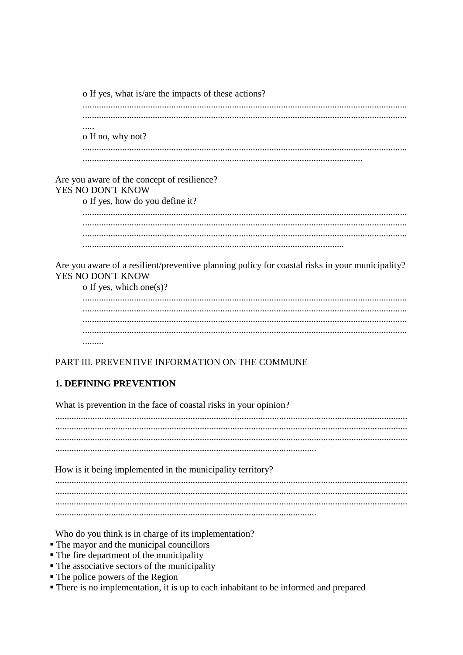o If yes, what is/are the impacts of these actions?  $\cdots$ o If no, why not? Are you aware of the concept of resilience? YES NO DON'T KNOW o If yes, how do you define it? 

Are you aware of a resilient/preventive planning policy for coastal risks in your municipality? YES NO DON'T KNOW

o If yes, which one(s)?

### PART III. PREVENTIVE INFORMATION ON THE COMMUNE

## **1. DEFINING PREVENTION**

What is prevention in the face of coastal risks in your opinion? How is it being implemented in the municipality territory? 

Who do you think is in charge of its implementation?

- The mayor and the municipal councillors
- The fire department of the municipality
- The associative sectors of the municipality
- $\blacksquare$  The police powers of the Region
- There is no implementation, it is up to each inhabitant to be informed and prepared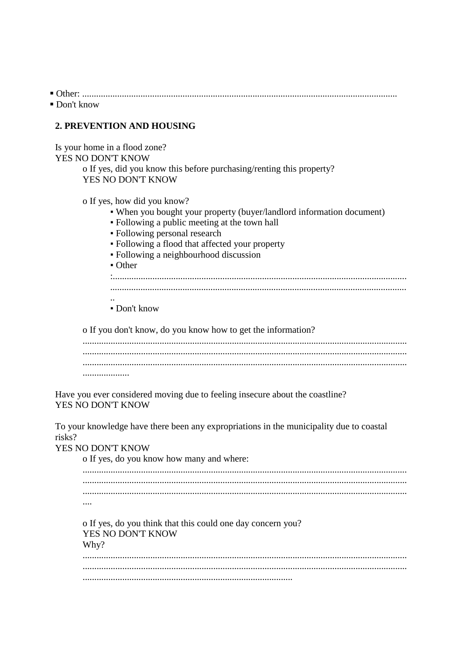$\blacksquare$  Don't know

### 2. PREVENTION AND HOUSING

Is your home in a flood zone? YES NO DON'T KNOW

o If yes, did you know this before purchasing/renting this property? YES NO DON'T KNOW

o If yes, how did you know?

- When you bought your property (buyer/landlord information document)
- Following a public meeting at the town hall
- Following personal research
- Following a flood that affected your property
- Following a neighbourhood discussion
- $\bullet$  Other

 $\blacksquare$  Don't know

o If you don't know, do you know how to get the information?

Have you ever considered moving due to feeling insecure about the coastline? YES NO DON'T KNOW

To your knowledge have there been any expropriations in the municipality due to coastal risks?

YES NO DON'T KNOW

o If yes, do you know how many and where:  $\ldots$ o If yes, do you think that this could one day concern you? YES NO DON'T KNOW Why?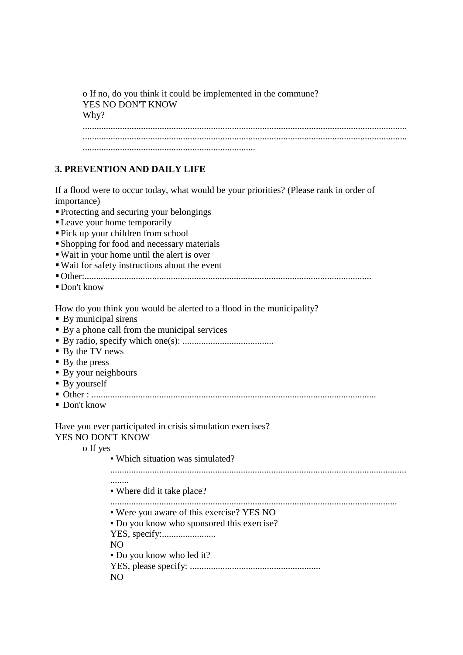o If no, do you think it could be implemented in the commune? YES NO DON'T KNOW Why? ........................................................................................................................................... ........................................................................................................................................... ..........................................................................

#### **3. PREVENTION AND DAILY LIFE**

If a flood were to occur today, what would be your priorities? (Please rank in order of importance)

- Protecting and securing your belongings
- Leave your home temporarily
- Pick up your children from school
- Shopping for food and necessary materials
- Wait in your home until the alert is over
- Wait for safety instructions about the event
- Other:...........................................................................................................................
- Don't know

How do you think you would be alerted to a flood in the municipality?

- **By municipal sirens**
- By a phone call from the municipal services
- By radio, specify which one(s): .......................................
- By the TV news
- By the press
- By your neighbours
- By yourself
- Other : ..........................................................................................................................
- Don't know

Have you ever participated in crisis simulation exercises? YES NO DON'T KNOW

> o If yes • Which situation was simulated? ............................................................................................................................... ........ ▪ Where did it take place? ........................................................................................................................... ▪ Were you aware of this exercise? YES NO ▪ Do you know who sponsored this exercise? YES, specify:....................... NO ▪ Do you know who led it? YES, please specify: ........................................................  $N()$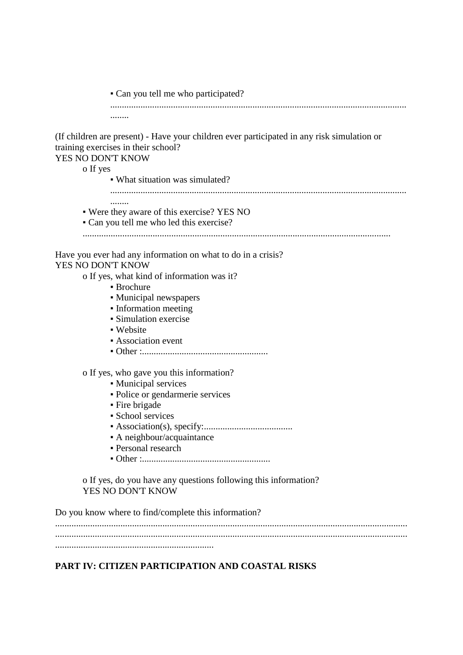▪ Can you tell me who participated? ...............................................................................................................................

(If children are present) - Have your children ever participated in any risk simulation or training exercises in their school?

### YES NO DON'T KNOW

........

........

#### o If yes

- What situation was simulated?
- ...............................................................................................................................
- Were they aware of this exercise? YES NO
- Can you tell me who led this exercise?

....................................................................................................................................

Have you ever had any information on what to do in a crisis? YES NO DON'T KNOW

o If yes, what kind of information was it?

- **Brochure**
- Municipal newspapers
- Information meeting
- Simulation exercise
- Website
- **Exerciation event**
- Other :......................................................

o If yes, who gave you this information?

- Municipal services
- Police or gendarmerie services
- Fire brigade
- School services
- Association(s), specify:......................................
- A neighbour/acquaintance
- Personal research
- Other :.......................................................

o If yes, do you have any questions following this information? YES NO DON'T KNOW

Do you know where to find/complete this information? ....................................................................................................................................................... ....................................................................................................................................................... ....................................................................

## **PART IV: CITIZEN PARTICIPATION AND COASTAL RISKS**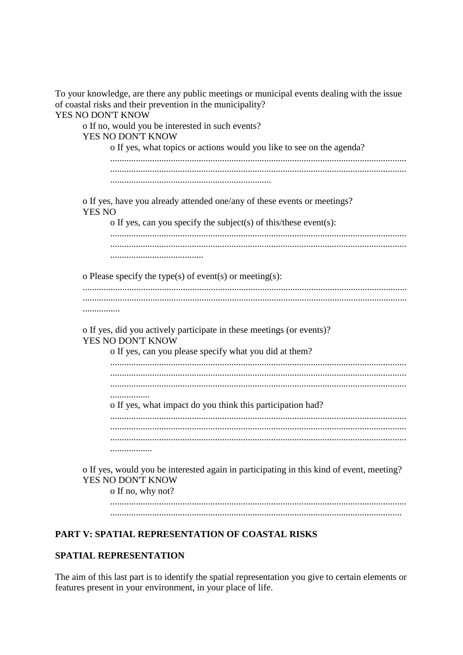|                   | To your knowledge, are there any public meetings or municipal events dealing with the issue                   |
|-------------------|---------------------------------------------------------------------------------------------------------------|
|                   | of coastal risks and their prevention in the municipality?                                                    |
| YES NO DON'T KNOW |                                                                                                               |
|                   | o If no, would you be interested in such events?                                                              |
|                   | YES NO DON'T KNOW                                                                                             |
|                   | o If yes, what topics or actions would you like to see on the agenda?                                         |
|                   |                                                                                                               |
|                   |                                                                                                               |
|                   |                                                                                                               |
| <b>YES NO</b>     | o If yes, have you already attended one/any of these events or meetings?                                      |
|                   | o If yes, can you specify the subject(s) of this/these event(s):                                              |
|                   |                                                                                                               |
|                   |                                                                                                               |
|                   |                                                                                                               |
|                   | o Please specify the type(s) of event(s) or meeting(s):                                                       |
|                   |                                                                                                               |
|                   |                                                                                                               |
|                   |                                                                                                               |
|                   | o If yes, did you actively participate in these meetings (or events)?<br>YES NO DON'T KNOW                    |
|                   | o If yes, can you please specify what you did at them?                                                        |
|                   |                                                                                                               |
|                   |                                                                                                               |
|                   | .                                                                                                             |
|                   | o If yes, what impact do you think this participation had?                                                    |
|                   |                                                                                                               |
|                   |                                                                                                               |
|                   |                                                                                                               |
|                   | .                                                                                                             |
|                   | o If yes, would you be interested again in participating in this kind of event, meeting?<br>YES NO DON'T KNOW |
|                   | o If no, why not?                                                                                             |
|                   |                                                                                                               |
|                   |                                                                                                               |
|                   |                                                                                                               |

# PART V: SPATIAL REPRESENTATION OF COASTAL RISKS

### SPATIAL REPRESENTATION

The aim of this last part is to identify the spatial representation you give to certain elements or features present in your environment, in your place of life.